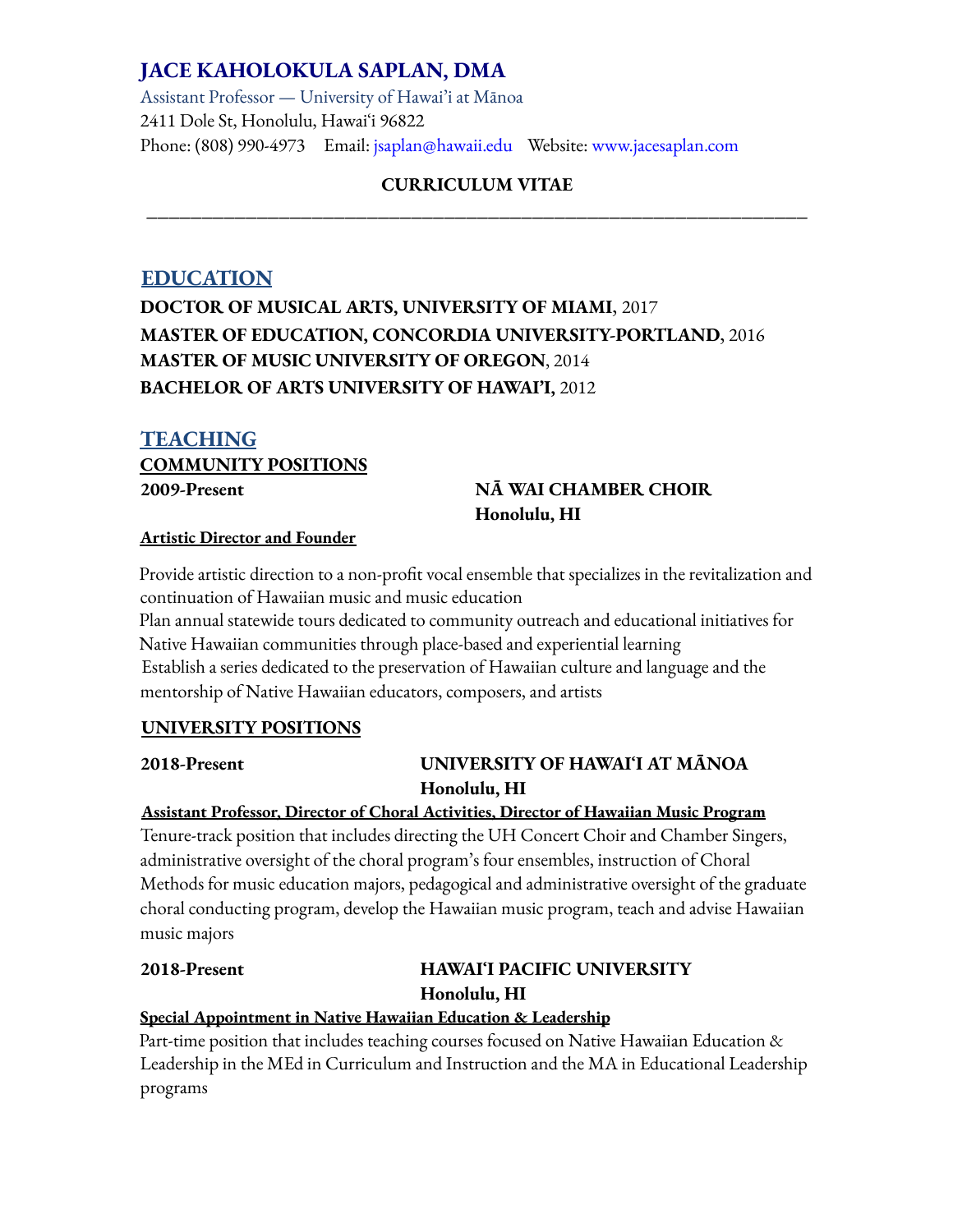# **JACE KAHOLOKULA SAPLAN, DMA**

Assistant Professor — University of Hawai'i at Mānoa 2411 Dole St, Honolulu, Hawaiʻi 96822 Phone: (808) 990-4973 Email: jsaplan@hawaii.edu Website: www.jacesaplan.com

# **CURRICULUM VITAE \_\_\_\_\_\_\_\_\_\_\_\_\_\_\_\_\_\_\_\_\_\_\_\_\_\_\_\_\_\_\_\_\_\_\_\_\_\_\_\_\_\_\_\_\_\_\_\_\_\_\_\_\_\_\_\_\_\_\_\_**

# **EDUCATION DOCTOR OF MUSICAL ARTS, UNIVERSITY OF MIAMI**, 2017 **MASTER OF EDUCATION, CONCORDIA UNIVERSITY-PORTLAND**, 2016 **MASTER OF MUSIC UNIVERSITY OF OREGON**, 2014 **BACHELOR OF ARTS UNIVERSITY OF HAWAI'I,** 2012

# **TEACHING COMMUNITY POSITIONS**

# **2009-Present NĀ WAI CHAMBER CHOIR Honolulu, HI**

#### **Artistic Director and Founder**

Provide artistic direction to a non-profit vocal ensemble that specializes in the revitalization and continuation of Hawaiian music and music education

Plan annual statewide tours dedicated to community outreach and educational initiatives for Native Hawaiian communities through place-based and experiential learning Establish a series dedicated to the preservation of Hawaiian culture and language and the mentorship of Native Hawaiian educators, composers, and artists

## **UNIVERSITY POSITIONS**

# **2018-Present UNIVERSITY OF HAWAIʻI AT MĀNOA Honolulu, HI**

#### **Assistant Professor, Director of Choral Activities, Director of Hawaiian Music Program**

Tenure-track position that includes directing the UH Concert Choir and Chamber Singers, administrative oversight of the choral program's four ensembles, instruction of Choral Methods for music education majors, pedagogical and administrative oversight of the graduate choral conducting program, develop the Hawaiian music program, teach and advise Hawaiian music majors

# **2018-Present HAWAIʻI PACIFIC UNIVERSITY Honolulu, HI**

# **Special Appointment in Native Hawaiian Education & Leadership**

Part-time position that includes teaching courses focused on Native Hawaiian Education & Leadership in the MEd in Curriculum and Instruction and the MA in Educational Leadership programs